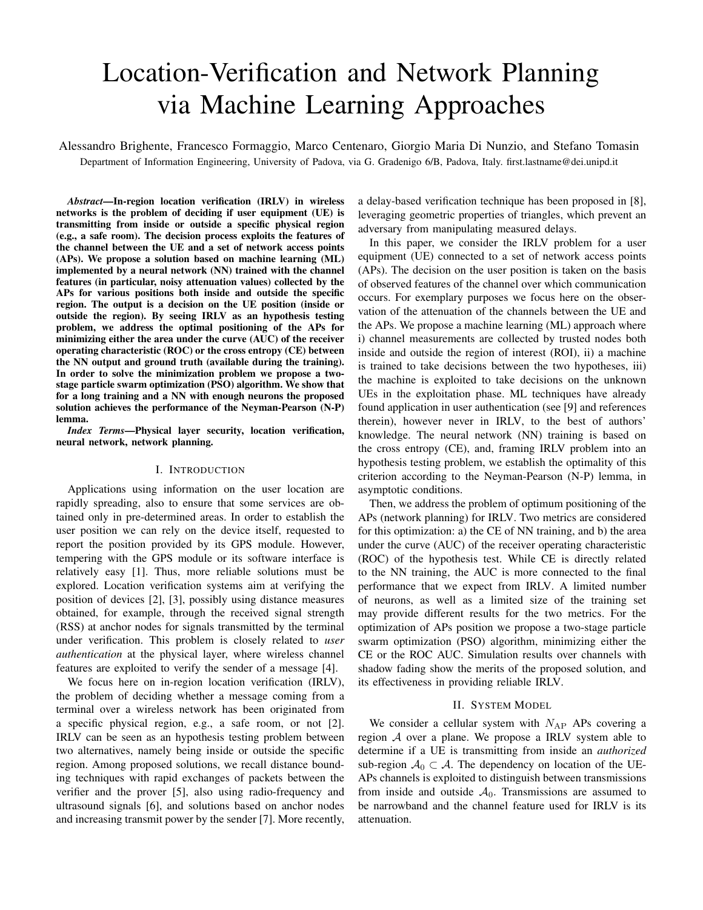# Location-Verification and Network Planning via Machine Learning Approaches

Alessandro Brighente, Francesco Formaggio, Marco Centenaro, Giorgio Maria Di Nunzio, and Stefano Tomasin Department of Information Engineering, University of Padova, via G. Gradenigo 6/B, Padova, Italy. first.lastname@dei.unipd.it

*Abstract*—In-region location verification (IRLV) in wireless networks is the problem of deciding if user equipment (UE) is transmitting from inside or outside a specific physical region (e.g., a safe room). The decision process exploits the features of the channel between the UE and a set of network access points (APs). We propose a solution based on machine learning (ML) implemented by a neural network (NN) trained with the channel features (in particular, noisy attenuation values) collected by the APs for various positions both inside and outside the specific region. The output is a decision on the UE position (inside or outside the region). By seeing IRLV as an hypothesis testing problem, we address the optimal positioning of the APs for minimizing either the area under the curve (AUC) of the receiver operating characteristic (ROC) or the cross entropy (CE) between the NN output and ground truth (available during the training). In order to solve the minimization problem we propose a twostage particle swarm optimization (PSO) algorithm. We show that for a long training and a NN with enough neurons the proposed solution achieves the performance of the Neyman-Pearson (N-P) lemma.

*Index Terms*—Physical layer security, location verification, neural network, network planning.

#### I. INTRODUCTION

Applications using information on the user location are rapidly spreading, also to ensure that some services are obtained only in pre-determined areas. In order to establish the user position we can rely on the device itself, requested to report the position provided by its GPS module. However, tempering with the GPS module or its software interface is relatively easy [1]. Thus, more reliable solutions must be explored. Location verification systems aim at verifying the position of devices [2], [3], possibly using distance measures obtained, for example, through the received signal strength (RSS) at anchor nodes for signals transmitted by the terminal under verification. This problem is closely related to *user authentication* at the physical layer, where wireless channel features are exploited to verify the sender of a message [4].

We focus here on in-region location verification (IRLV), the problem of deciding whether a message coming from a terminal over a wireless network has been originated from a specific physical region, e.g., a safe room, or not [2]. IRLV can be seen as an hypothesis testing problem between two alternatives, namely being inside or outside the specific region. Among proposed solutions, we recall distance bounding techniques with rapid exchanges of packets between the verifier and the prover [5], also using radio-frequency and ultrasound signals [6], and solutions based on anchor nodes and increasing transmit power by the sender [7]. More recently, a delay-based verification technique has been proposed in [8], leveraging geometric properties of triangles, which prevent an adversary from manipulating measured delays.

In this paper, we consider the IRLV problem for a user equipment (UE) connected to a set of network access points (APs). The decision on the user position is taken on the basis of observed features of the channel over which communication occurs. For exemplary purposes we focus here on the observation of the attenuation of the channels between the UE and the APs. We propose a machine learning (ML) approach where i) channel measurements are collected by trusted nodes both inside and outside the region of interest (ROI), ii) a machine is trained to take decisions between the two hypotheses, iii) the machine is exploited to take decisions on the unknown UEs in the exploitation phase. ML techniques have already found application in user authentication (see [9] and references therein), however never in IRLV, to the best of authors' knowledge. The neural network (NN) training is based on the cross entropy (CE), and, framing IRLV problem into an hypothesis testing problem, we establish the optimality of this criterion according to the Neyman-Pearson (N-P) lemma, in asymptotic conditions.

Then, we address the problem of optimum positioning of the APs (network planning) for IRLV. Two metrics are considered for this optimization: a) the CE of NN training, and b) the area under the curve (AUC) of the receiver operating characteristic (ROC) of the hypothesis test. While CE is directly related to the NN training, the AUC is more connected to the final performance that we expect from IRLV. A limited number of neurons, as well as a limited size of the training set may provide different results for the two metrics. For the optimization of APs position we propose a two-stage particle swarm optimization (PSO) algorithm, minimizing either the CE or the ROC AUC. Simulation results over channels with shadow fading show the merits of the proposed solution, and its effectiveness in providing reliable IRLV.

#### II. SYSTEM MODEL

We consider a cellular system with  $N_{AP}$  APs covering a region A over a plane. We propose a IRLV system able to determine if a UE is transmitting from inside an *authorized* sub-region  $A_0 \subset A$ . The dependency on location of the UE-APs channels is exploited to distinguish between transmissions from inside and outside  $A_0$ . Transmissions are assumed to be narrowband and the channel feature used for IRLV is its attenuation.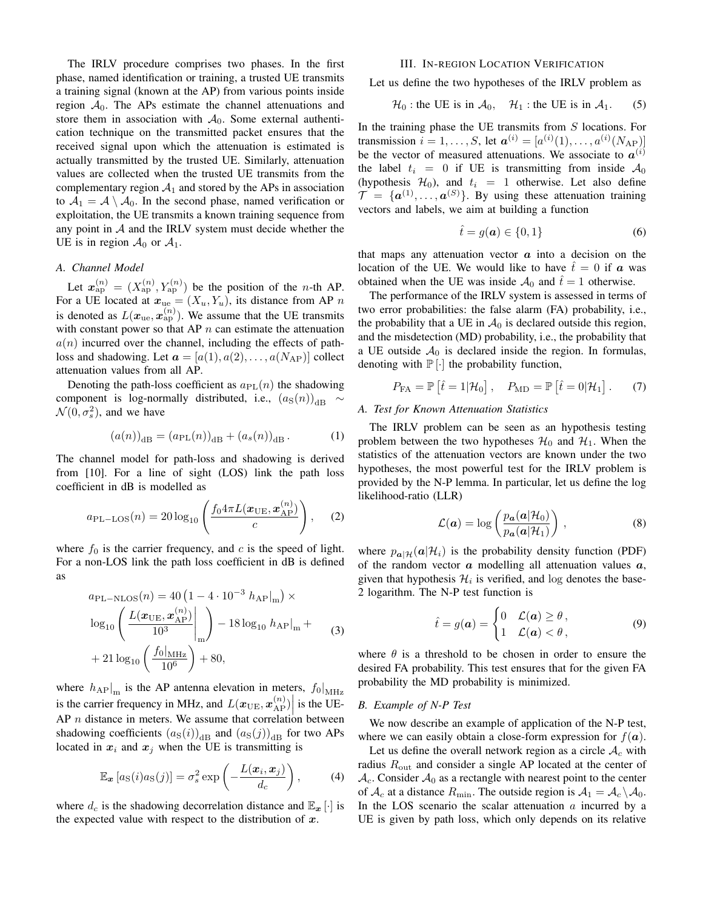The IRLV procedure comprises two phases. In the first phase, named identification or training, a trusted UE transmits a training signal (known at the AP) from various points inside region  $A_0$ . The APs estimate the channel attenuations and store them in association with  $A_0$ . Some external authentication technique on the transmitted packet ensures that the received signal upon which the attenuation is estimated is actually transmitted by the trusted UE. Similarly, attenuation values are collected when the trusted UE transmits from the complementary region  $A_1$  and stored by the APs in association to  $A_1 = A \setminus A_0$ . In the second phase, named verification or exploitation, the UE transmits a known training sequence from any point in  $A$  and the IRLV system must decide whether the UE is in region  $\mathcal{A}_0$  or  $\mathcal{A}_1$ .

## *A. Channel Model*

Let  $x_{\rm ap}^{(n)} = (X_{\rm ap}^{(n)}, Y_{\rm ap}^{(n)})$  be the position of the *n*-th AP. For a UE located at  $x_{ue} = (X_u, Y_u)$ , its distance from AP n is denoted as  $L(\boldsymbol{x}_{\text{ue}}, \boldsymbol{x}_{\text{ap}}^{(n)})$ . We assume that the UE transmits with constant power so that AP  $n$  can estimate the attenuation  $a(n)$  incurred over the channel, including the effects of pathloss and shadowing. Let  $\mathbf{a} = [a(1), a(2), \dots, a(N_{AP})]$  collect attenuation values from all AP.

Denoting the path-loss coefficient as  $a_{PL}(n)$  the shadowing component is log-normally distributed, i.e.,  $(a_S(n))_{dB} \sim$  $\mathcal{N}(0, \sigma_s^2)$ , and we have

$$
(a(n))_{\text{dB}} = (a_{\text{PL}}(n))_{\text{dB}} + (a_s(n))_{\text{dB}}.
$$
 (1)

The channel model for path-loss and shadowing is derived from [10]. For a line of sight (LOS) link the path loss coefficient in dB is modelled as

$$
a_{\text{PL-LOS}}(n) = 20 \log_{10} \left( \frac{f_0 4 \pi L(\bm{x}_{\text{UE}}, \bm{x}_{\text{AP}}^{(n)})}{c} \right), \quad (2)
$$

where  $f_0$  is the carrier frequency, and c is the speed of light. For a non-LOS link the path loss coefficient in dB is defined as

$$
a_{\text{PL-NLOS}}(n) = 40 \left(1 - 4 \cdot 10^{-3} \ h_{\text{AP}}|_{\text{m}}\right) \times
$$
  

$$
\log_{10} \left( \frac{L(\boldsymbol{x}_{\text{UE}}, \boldsymbol{x}_{\text{AP}}^{(n)})}{10^3} \bigg|_{\text{m}} \right) - 18 \log_{10} \ h_{\text{AP}}|_{\text{m}} +
$$
  
+ 21 
$$
\log_{10} \left( \frac{f_0|_{\text{MHz}}}{10^6} \right) + 80,
$$
 (3)

where  $h_{AP}|_{m}$  is the AP antenna elevation in meters,  $f_0|_{MHz}$ is the carrier frequency in MHz, and  $L(\boldsymbol{x}_{\text{UE}}, \boldsymbol{x}_{\text{AP}}^{(n)})$  is the UE-AP *n* distance in meters. We assume that correlation between shadowing coefficients  $(a_S(i))_{\text{dB}}$  and  $(a_S(j))_{\text{dB}}$  for two APs located in  $x_i$  and  $x_j$  when the UE is transmitting is

$$
\mathbb{E}_{\boldsymbol{x}}\left[a_{\mathrm{S}}(i)a_{\mathrm{S}}(j)\right] = \sigma_s^2 \exp\left(-\frac{L(\boldsymbol{x}_i,\boldsymbol{x}_j)}{d_c}\right),\tag{4}
$$

where  $d_c$  is the shadowing decorrelation distance and  $\mathbb{E}_{x}[\cdot]$  is the expected value with respect to the distribution of  $x$ .

## III. IN-REGION LOCATION VERIFICATION

Let us define the two hypotheses of the IRLV problem as

$$
\mathcal{H}_0: \text{the UE is in } \mathcal{A}_0, \quad \mathcal{H}_1: \text{the UE is in } \mathcal{A}_1. \tag{5}
$$

In the training phase the UE transmits from  $S$  locations. For transmission  $i = 1, ..., S$ , let  $a^{(i)} = [a^{(i)}(1), ..., a^{(i)}(N_{AP})]$ be the vector of measured attenuations. We associate to  $a^{(i)}$ the label  $t_i = 0$  if UE is transmitting from inside  $A_0$ (hypothesis  $\mathcal{H}_0$ ), and  $t_i = 1$  otherwise. Let also define  $\mathcal{T} = \{\boldsymbol{a}^{(1)}, \dots, \boldsymbol{a}^{(S)}\}$ . By using these attenuation training vectors and labels, we aim at building a function

$$
\hat{t} = g(a) \in \{0, 1\} \tag{6}
$$

that maps any attenuation vector  $\alpha$  into a decision on the location of the UE. We would like to have  $\hat{t} = 0$  if a was obtained when the UE was inside  $A_0$  and  $\hat{t} = 1$  otherwise.

The performance of the IRLV system is assessed in terms of two error probabilities: the false alarm (FA) probability, i.e., the probability that a UE in  $A_0$  is declared outside this region, and the misdetection (MD) probability, i.e., the probability that a UE outside  $A_0$  is declared inside the region. In formulas, denoting with  $\mathbb{P}[\cdot]$  the probability function,

$$
P_{\text{FA}} = \mathbb{P}\left[\hat{t} = 1|\mathcal{H}_0\right], \quad P_{\text{MD}} = \mathbb{P}\left[\hat{t} = 0|\mathcal{H}_1\right]. \tag{7}
$$

## *A. Test for Known Attenuation Statistics*

The IRLV problem can be seen as an hypothesis testing problem between the two hypotheses  $\mathcal{H}_0$  and  $\mathcal{H}_1$ . When the statistics of the attenuation vectors are known under the two hypotheses, the most powerful test for the IRLV problem is provided by the N-P lemma. In particular, let us define the log likelihood-ratio (LLR)

$$
\mathcal{L}(\boldsymbol{a}) = \log \left( \frac{p_{\boldsymbol{a}}(\boldsymbol{a}|\mathcal{H}_0)}{p_{\boldsymbol{a}}(\boldsymbol{a}|\mathcal{H}_1)} \right), \tag{8}
$$

where  $p_{\mathbf{a}|\mathcal{H}}(\mathbf{a}|\mathcal{H}_i)$  is the probability density function (PDF) of the random vector  $\boldsymbol{a}$  modelling all attenuation values  $\boldsymbol{a}$ , given that hypothesis  $\mathcal{H}_i$  is verified, and log denotes the base-2 logarithm. The N-P test function is

$$
\hat{t} = g(a) = \begin{cases} 0 & \mathcal{L}(a) \ge \theta, \\ 1 & \mathcal{L}(a) < \theta, \end{cases}
$$
 (9)

where  $\theta$  is a threshold to be chosen in order to ensure the desired FA probability. This test ensures that for the given FA probability the MD probability is minimized.

#### *B. Example of N-P Test*

We now describe an example of application of the N-P test, where we can easily obtain a close-form expression for  $f(\boldsymbol{a})$ .

Let us define the overall network region as a circle  $A_c$  with radius  $R_{\text{out}}$  and consider a single AP located at the center of  $\mathcal{A}_{c}$ . Consider  $\mathcal{A}_{0}$  as a rectangle with nearest point to the center of  $\mathcal{A}_c$  at a distance  $R_{\text{min}}$ . The outside region is  $\mathcal{A}_1 = \mathcal{A}_c \backslash \mathcal{A}_0$ . In the LOS scenario the scalar attenuation  $\alpha$  incurred by a UE is given by path loss, which only depends on its relative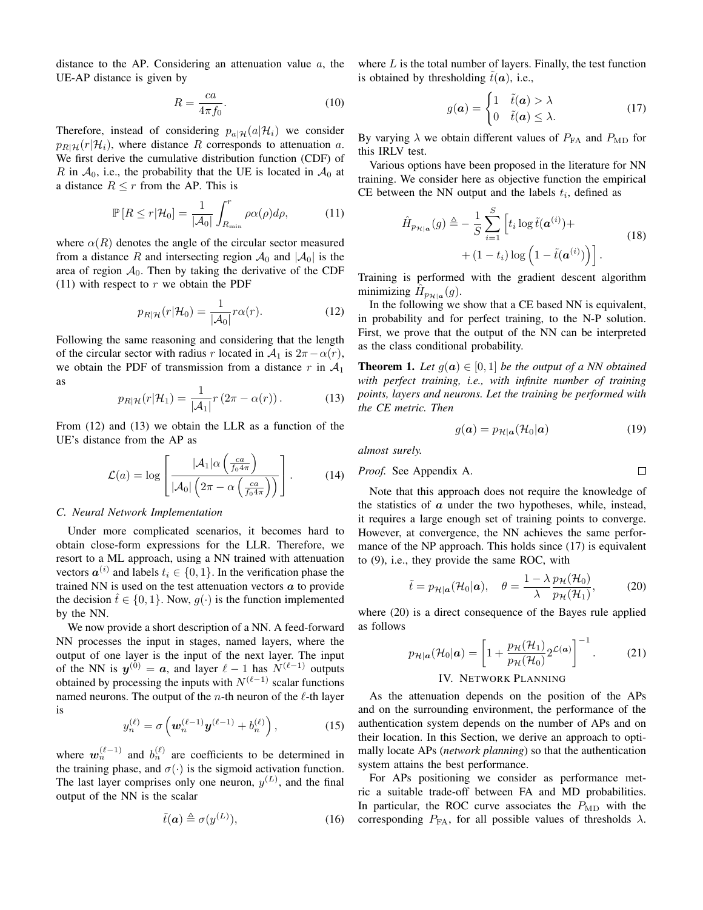distance to the AP. Considering an attenuation value  $a$ , the UE-AP distance is given by

$$
R = \frac{ca}{4\pi f_0}.\tag{10}
$$

Therefore, instead of considering  $p_{a|\mathcal{H}}(a|\mathcal{H}_i)$  we consider  $p_{R|\mathcal{H}}(r|\mathcal{H}_i)$ , where distance R corresponds to attenuation a. We first derive the cumulative distribution function (CDF) of R in  $A_0$ , i.e., the probability that the UE is located in  $A_0$  at a distance  $R \leq r$  from the AP. This is

$$
\mathbb{P}\left[R \le r|\mathcal{H}_0\right] = \frac{1}{|\mathcal{A}_0|} \int_{R_{\min}}^r \rho \alpha(\rho) d\rho,\tag{11}
$$

where  $\alpha(R)$  denotes the angle of the circular sector measured from a distance R and intersecting region  $\mathcal{A}_0$  and  $|\mathcal{A}_0|$  is the area of region  $A_0$ . Then by taking the derivative of the CDF (11) with respect to  $r$  we obtain the PDF

$$
p_{R|\mathcal{H}}(r|\mathcal{H}_0) = \frac{1}{|\mathcal{A}_0|} r\alpha(r). \tag{12}
$$

Following the same reasoning and considering that the length of the circular sector with radius r located in  $A_1$  is  $2\pi - \alpha(r)$ , we obtain the PDF of transmission from a distance r in  $A_1$ as

$$
p_{R|\mathcal{H}}(r|\mathcal{H}_1) = \frac{1}{|\mathcal{A}_1|} r(2\pi - \alpha(r)). \tag{13}
$$

From (12) and (13) we obtain the LLR as a function of the UE's distance from the AP as

$$
\mathcal{L}(a) = \log \left[ \frac{|\mathcal{A}_1| \alpha \left( \frac{ca}{f_0 4\pi} \right)}{|\mathcal{A}_0| \left( 2\pi - \alpha \left( \frac{ca}{f_0 4\pi} \right) \right)} \right].
$$
 (14)

## *C. Neural Network Implementation*

Under more complicated scenarios, it becomes hard to obtain close-form expressions for the LLR. Therefore, we resort to a ML approach, using a NN trained with attenuation vectors  $a^{(i)}$  and labels  $t_i \in \{0, 1\}$ . In the verification phase the trained NN is used on the test attenuation vectors  $\boldsymbol{a}$  to provide the decision  $\hat{t} \in \{0, 1\}$ . Now,  $g(\cdot)$  is the function implemented by the NN.

We now provide a short description of a NN. A feed-forward NN processes the input in stages, named layers, where the output of one layer is the input of the next layer. The input of the NN is  $y^{(0)} = a$ , and layer  $\ell - 1$  has  $N^{(\ell-1)}$  outputs obtained by processing the inputs with  $N^{(\ell-1)}$  scalar functions named neurons. The output of the *n*-th neuron of the  $\ell$ -th layer is

$$
y_n^{(\ell)} = \sigma \left( \mathbf{w}_n^{(\ell-1)} \mathbf{y}^{(\ell-1)} + b_n^{(\ell)} \right), \tag{15}
$$

where  $w_n^{(\ell-1)}$  and  $b_n^{(\ell)}$  are coefficients to be determined in the training phase, and  $\sigma(\cdot)$  is the sigmoid activation function. The last layer comprises only one neuron,  $y^{(L)}$ , and the final output of the NN is the scalar

$$
\tilde{t}(\mathbf{a}) \triangleq \sigma(y^{(L)}),\tag{16}
$$

where  $L$  is the total number of layers. Finally, the test function is obtained by thresholding  $\hat{t}(\boldsymbol{a})$ , i.e.,

$$
g(a) = \begin{cases} 1 & \tilde{t}(a) > \lambda \\ 0 & \tilde{t}(a) \leq \lambda. \end{cases}
$$
 (17)

By varying  $\lambda$  we obtain different values of  $P_{FA}$  and  $P_{MD}$  for this IRLV test.

Various options have been proposed in the literature for NN training. We consider here as objective function the empirical CE between the NN output and the labels  $t_i$ , defined as

$$
\hat{H}_{p_{\mathcal{H}|\mathbf{a}}}(g) \triangleq -\frac{1}{S} \sum_{i=1}^{S} \left[ t_i \log \tilde{t}(\mathbf{a}^{(i)}) + (1-t_i) \log \left( 1 - \tilde{t}(\mathbf{a}^{(i)}) \right) \right].
$$
\n(18)

Training is performed with the gradient descent algorithm minimizing  $\hat{H}_{p_{\mathcal{H}|a}}(g)$ .

In the following we show that a CE based NN is equivalent, in probability and for perfect training, to the N-P solution. First, we prove that the output of the NN can be interpreted as the class conditional probability.

**Theorem 1.** Let  $g(a) \in [0,1]$  be the output of a NN obtained *with perfect training, i.e., with infinite number of training points, layers and neurons. Let the training be performed with the CE metric. Then*

$$
g(\mathbf{a}) = p_{\mathcal{H}|\mathbf{a}}(\mathcal{H}_0|\mathbf{a}) \tag{19}
$$

*almost surely.*

*Proof.* See Appendix A. 
$$
\Box
$$

Note that this approach does not require the knowledge of the statistics of  $a$  under the two hypotheses, while, instead, it requires a large enough set of training points to converge. However, at convergence, the NN achieves the same performance of the NP approach. This holds since (17) is equivalent to (9), i.e., they provide the same ROC, with

$$
\tilde{t} = p_{\mathcal{H}|\mathbf{a}}(\mathcal{H}_0|\mathbf{a}), \quad \theta = \frac{1 - \lambda}{\lambda} \frac{p_{\mathcal{H}}(\mathcal{H}_0)}{p_{\mathcal{H}}(\mathcal{H}_1)},\tag{20}
$$

where (20) is a direct consequence of the Bayes rule applied as follows

$$
p_{\mathcal{H}|\mathbf{a}}(\mathcal{H}_0|\mathbf{a}) = \left[1 + \frac{p_{\mathcal{H}}(\mathcal{H}_1)}{p_{\mathcal{H}}(\mathcal{H}_0)} 2^{\mathcal{L}(\mathbf{a})}\right]^{-1}.
$$
 (21)

## IV. NETWORK PLANNING

As the attenuation depends on the position of the APs and on the surrounding environment, the performance of the authentication system depends on the number of APs and on their location. In this Section, we derive an approach to optimally locate APs (*network planning*) so that the authentication system attains the best performance.

For APs positioning we consider as performance metric a suitable trade-off between FA and MD probabilities. In particular, the ROC curve associates the  $P_{MD}$  with the corresponding  $P_{FA}$ , for all possible values of thresholds  $\lambda$ .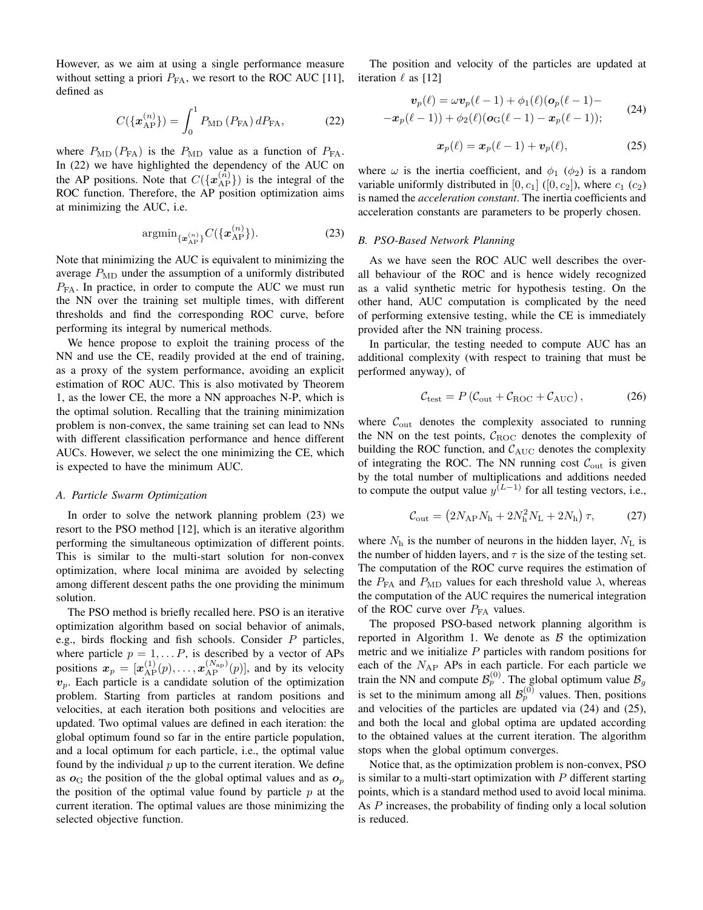However, as we aim at using a single performance measure without setting a priori  $P_{FA}$ , we resort to the ROC AUC [11], defined as

$$
C(\{\mathbf{x}_{AP}^{(n)}\}) = \int_0^1 P_{\rm MD}(P_{\rm FA}) \, dP_{\rm FA},\tag{22}
$$

where  $P_{MD}$  ( $P_{FA}$ ) is the  $P_{MD}$  value as a function of  $P_{FA}$ . In (22) we have highlighted the dependency of the AUC on the AP positions. Note that  $C({\lbrace \mathbf{x}_{AP}^{(n)} \rbrace})$  is the integral of the ROC function. Therefore, the AP position optimization aims at minimizing the AUC, i.e.

$$
\operatorname{argmin}_{\{\boldsymbol{x}_{AP}^{(n)}\}} C(\{\boldsymbol{x}_{AP}^{(n)}\}).
$$
\n(23)

Note that minimizing the AUC is equivalent to minimizing the average  $P_{MD}$  under the assumption of a uniformly distributed  $P_{FA}$ . In practice, in order to compute the AUC we must run the NN over the training set multiple times, with different thresholds and find the corresponding ROC curve, before performing its integral by numerical methods.

We hence propose to exploit the training process of the NN and use the CE, readily provided at the end of training, as a proxy of the system performance, avoiding an explicit estimation of ROC AUC. This is also motivated by Theorem 1, as the lower CE, the more a NN approaches N-P, which is the optimal solution. Recalling that the training minimization problem is non-convex, the same training set can lead to NNs with different classification performance and hence different AUCs. However, we select the one minimizing the CE, which is expected to have the minimum AUC.

## *A. Particle Swarm Optimization*

In order to solve the network planning problem (23) we resort to the PSO method [12], which is an iterative algorithm performing the simultaneous optimization of different points. This is similar to the multi-start solution for non-convex optimization, where local minima are avoided by selecting among different descent paths the one providing the minimum solution.

The PSO method is briefly recalled here. PSO is an iterative optimization algorithm based on social behavior of animals, e.g., birds flocking and fish schools. Consider  $P$  particles, where particle  $p = 1, \ldots, P$ , is described by a vector of APs positions  $\mathbf{x}_p = [\mathbf{x}_{AP}^{(1)}(p), \dots, \mathbf{x}_{AP}^{(N_{AP})}(p)]$ , and by its velocity  $v_p$ . Each particle is a candidate solution of the optimization problem. Starting from particles at random positions and velocities, at each iteration both positions and velocities are updated. Two optimal values are defined in each iteration: the global optimum found so far in the entire particle population, and a local optimum for each particle, i.e., the optimal value found by the individual  $p$  up to the current iteration. We define as  $o<sub>G</sub>$  the position of the the global optimal values and as  $o<sub>p</sub>$ the position of the optimal value found by particle  $p$  at the current iteration. The optimal values are those minimizing the selected objective function.

The position and velocity of the particles are updated at iteration  $\ell$  as [12]

$$
\mathbf{v}_p(\ell) = \omega \mathbf{v}_p(\ell-1) + \phi_1(\ell)(\mathbf{o}_p(\ell-1)) -
$$
  

$$
-\mathbf{x}_p(\ell-1)) + \phi_2(\ell)(\mathbf{o}_G(\ell-1) - \mathbf{x}_p(\ell-1));
$$
 (24)

$$
\boldsymbol{x}_p(\ell) = \boldsymbol{x}_p(\ell-1) + \boldsymbol{v}_p(\ell), \tag{25}
$$

where  $\omega$  is the inertia coefficient, and  $\phi_1$  ( $\phi_2$ ) is a random variable uniformly distributed in [0,  $c_1$ ] ([0,  $c_2$ ]), where  $c_1$  ( $c_2$ ) is named the *acceleration constant*. The inertia coefficients and acceleration constants are parameters to be properly chosen.

## *B. PSO-Based Network Planning*

As we have seen the ROC AUC well describes the overall behaviour of the ROC and is hence widely recognized as a valid synthetic metric for hypothesis testing. On the other hand, AUC computation is complicated by the need of performing extensive testing, while the CE is immediately provided after the NN training process.

In particular, the testing needed to compute AUC has an additional complexity (with respect to training that must be performed anyway), of

$$
\mathcal{C}_{\text{test}} = P\left(\mathcal{C}_{\text{out}} + \mathcal{C}_{\text{ROC}} + \mathcal{C}_{\text{AUC}}\right),\tag{26}
$$

where  $C_{\text{out}}$  denotes the complexity associated to running the NN on the test points,  $C_{\text{ROC}}$  denotes the complexity of building the ROC function, and  $C_{\text{AUC}}$  denotes the complexity of integrating the ROC. The NN running cost  $\mathcal{C}_{\text{out}}$  is given by the total number of multiplications and additions needed to compute the output value  $y^{(L-1)}$  for all testing vectors, i.e.,

$$
C_{\text{out}} = (2N_{\text{AP}}N_{\text{h}} + 2N_{\text{h}}^2N_{\text{L}} + 2N_{\text{h}})\tau, \tag{27}
$$

where  $N<sub>h</sub>$  is the number of neurons in the hidden layer,  $N<sub>L</sub>$  is the number of hidden layers, and  $\tau$  is the size of the testing set. The computation of the ROC curve requires the estimation of the  $P_{FA}$  and  $P_{MD}$  values for each threshold value  $\lambda$ , whereas the computation of the AUC requires the numerical integration of the ROC curve over  $P_{FA}$  values.

The proposed PSO-based network planning algorithm is reported in Algorithm 1. We denote as  $\beta$  the optimization metric and we initialize  $P$  particles with random positions for each of the  $N_{AP}$  APs in each particle. For each particle we train the NN and compute  $\mathcal{B}_p^{(0)}$ . The global optimum value  $\mathcal{B}_g$ is set to the minimum among all  $\mathcal{B}_p^{(0)}$  values. Then, positions and velocities of the particles are updated via (24) and (25), and both the local and global optima are updated according to the obtained values at the current iteration. The algorithm stops when the global optimum converges.

Notice that, as the optimization problem is non-convex, PSO is similar to a multi-start optimization with  $P$  different starting points, which is a standard method used to avoid local minima. As P increases, the probability of finding only a local solution is reduced.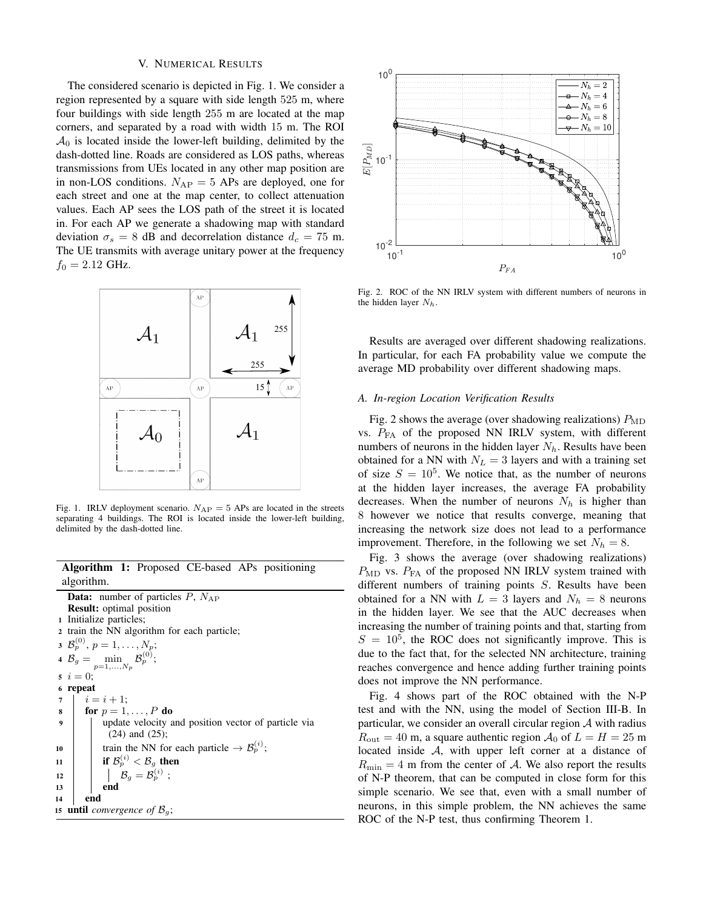## V. NUMERICAL RESULTS

The considered scenario is depicted in Fig. 1. We consider a region represented by a square with side length 525 m, where four buildings with side length 255 m are located at the map corners, and separated by a road with width 15 m. The ROI  $\mathcal{A}_0$  is located inside the lower-left building, delimited by the dash-dotted line. Roads are considered as LOS paths, whereas transmissions from UEs located in any other map position are in non-LOS conditions.  $N_{AP} = 5$  APs are deployed, one for each street and one at the map center, to collect attenuation values. Each AP sees the LOS path of the street it is located in. For each AP we generate a shadowing map with standard deviation  $\sigma_s = 8$  dB and decorrelation distance  $d_c = 75$  m. The UE transmits with average unitary power at the frequency  $f_0 = 2.12$  GHz.



Fig. 1. IRLV deployment scenario.  $N_{AP} = 5$  APs are located in the streets separating 4 buildings. The ROI is located inside the lower-left building, delimited by the dash-dotted line.

# Algorithm 1: Proposed CE-based APs positioning algorithm.

**Data:** number of particles  $P$ ,  $N_{AP}$ Result: optimal position <sup>1</sup> Initialize particles; <sup>2</sup> train the NN algorithm for each particle; 3  $\mathcal{B}_p^{(0)}, p = 1, \ldots, N_p;$ 4  $B_g =$  $p=1,\ldots,N_p$  $\mathcal{B}^{(0)}_{p};$  $i = 0;$ <sup>6</sup> repeat 7  $i = i + 1;$ 8  $\vert$  for  $p = 1, \ldots, P$  do <sup>9</sup> update velocity and position vector of particle via (24) and (25); 10 train the NN for each particle  $\rightarrow \mathcal{B}_p^{(i)}$ ; 11 **if**  $\mathcal{B}_p^{(i)} < \mathcal{B}_g$  then  $\mathbf{12} \quad | \quad | \quad \mathcal{B}_g = \mathcal{B}_p^{(i)} \; ;$  $13$  end <sup>14</sup> end 15 **until** *convergence of*  $\mathcal{B}_g$ ;



Fig. 2. ROC of the NN IRLV system with different numbers of neurons in the hidden layer  $N_h$ .

Results are averaged over different shadowing realizations. In particular, for each FA probability value we compute the average MD probability over different shadowing maps.

#### *A. In-region Location Verification Results*

Fig. 2 shows the average (over shadowing realizations)  $P_{MD}$ vs.  $P_{FA}$  of the proposed NN IRLV system, with different numbers of neurons in the hidden layer  $N_h$ . Results have been obtained for a NN with  $N_L = 3$  layers and with a training set of size  $S = 10^5$ . We notice that, as the number of neurons at the hidden layer increases, the average FA probability decreases. When the number of neurons  $N_h$  is higher than 8 however we notice that results converge, meaning that increasing the network size does not lead to a performance improvement. Therefore, in the following we set  $N_h = 8$ .

Fig. 3 shows the average (over shadowing realizations)  $P_{MD}$  vs.  $P_{FA}$  of the proposed NN IRLV system trained with different numbers of training points S. Results have been obtained for a NN with  $L = 3$  layers and  $N_h = 8$  neurons in the hidden layer. We see that the AUC decreases when increasing the number of training points and that, starting from  $S = 10<sup>5</sup>$ , the ROC does not significantly improve. This is due to the fact that, for the selected NN architecture, training reaches convergence and hence adding further training points does not improve the NN performance.

Fig. 4 shows part of the ROC obtained with the N-P test and with the NN, using the model of Section III-B. In particular, we consider an overall circular region  $A$  with radius  $R_{\text{out}} = 40 \text{ m}$ , a square authentic region  $\mathcal{A}_0$  of  $L = H = 25 \text{ m}$ located inside A, with upper left corner at a distance of  $R_{\text{min}} = 4$  m from the center of A. We also report the results of N-P theorem, that can be computed in close form for this simple scenario. We see that, even with a small number of neurons, in this simple problem, the NN achieves the same ROC of the N-P test, thus confirming Theorem 1.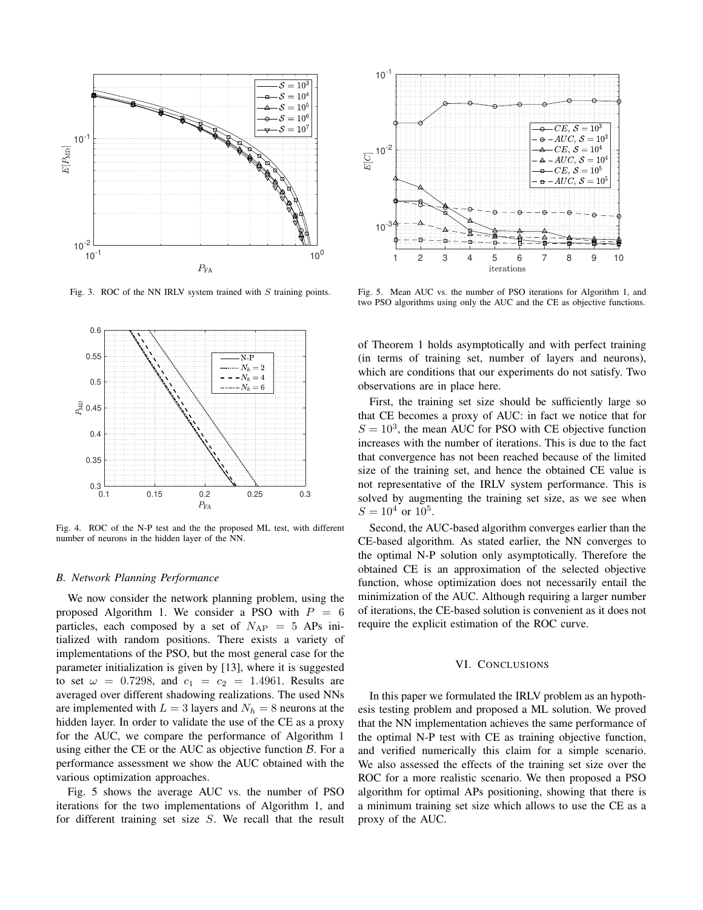

Fig. 3. ROC of the NN IRLV system trained with  $S$  training points.



Fig. 4. ROC of the N-P test and the the proposed ML test, with different number of neurons in the hidden layer of the NN.

## *B. Network Planning Performance*

We now consider the network planning problem, using the proposed Algorithm 1. We consider a PSO with  $P = 6$ particles, each composed by a set of  $N_{AP} = 5$  APs initialized with random positions. There exists a variety of implementations of the PSO, but the most general case for the parameter initialization is given by [13], where it is suggested to set  $\omega = 0.7298$ , and  $c_1 = c_2 = 1.4961$ . Results are averaged over different shadowing realizations. The used NNs are implemented with  $L = 3$  layers and  $N_h = 8$  neurons at the hidden layer. In order to validate the use of the CE as a proxy for the AUC, we compare the performance of Algorithm 1 using either the CE or the AUC as objective function  $\beta$ . For a performance assessment we show the AUC obtained with the various optimization approaches.

Fig. 5 shows the average AUC vs. the number of PSO iterations for the two implementations of Algorithm 1, and for different training set size S. We recall that the result



Fig. 5. Mean AUC vs. the number of PSO iterations for Algorithm 1, and two PSO algorithms using only the AUC and the CE as objective functions.

of Theorem 1 holds asymptotically and with perfect training (in terms of training set, number of layers and neurons), which are conditions that our experiments do not satisfy. Two observations are in place here.

First, the training set size should be sufficiently large so that CE becomes a proxy of AUC: in fact we notice that for  $S = 10<sup>3</sup>$ , the mean AUC for PSO with CE objective function increases with the number of iterations. This is due to the fact that convergence has not been reached because of the limited size of the training set, and hence the obtained CE value is not representative of the IRLV system performance. This is solved by augmenting the training set size, as we see when  $S = 10^4$  or  $10^5$ .

Second, the AUC-based algorithm converges earlier than the CE-based algorithm. As stated earlier, the NN converges to the optimal N-P solution only asymptotically. Therefore the obtained CE is an approximation of the selected objective function, whose optimization does not necessarily entail the minimization of the AUC. Although requiring a larger number of iterations, the CE-based solution is convenient as it does not require the explicit estimation of the ROC curve.

#### VI. CONCLUSIONS

In this paper we formulated the IRLV problem as an hypothesis testing problem and proposed a ML solution. We proved that the NN implementation achieves the same performance of the optimal N-P test with CE as training objective function, and verified numerically this claim for a simple scenario. We also assessed the effects of the training set size over the ROC for a more realistic scenario. We then proposed a PSO algorithm for optimal APs positioning, showing that there is a minimum training set size which allows to use the CE as a proxy of the AUC.